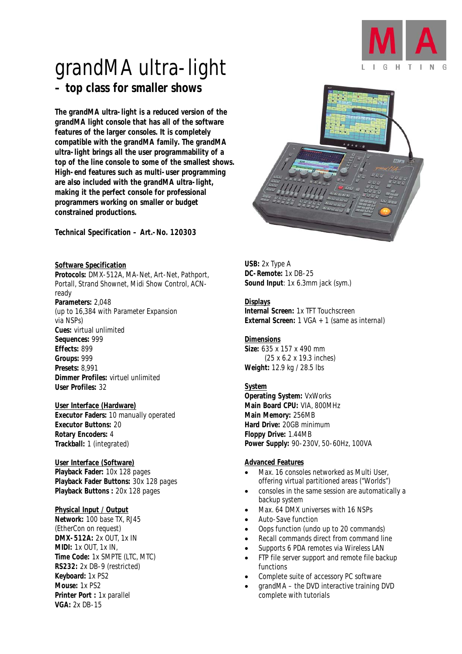

# grandMA ultra-light *– top class for smaller shows*

*The grandMA ultra-light is a reduced version of the grandMA light console that has all of the software features of the larger consoles. It is completely compatible with the grandMA family. The grandMA ultra-light brings all the user programmability of a top of the line console to some of the smallest shows. High-end features such as multi-user programming are also included with the grandMA ultra-light, making it the perfect console for professional programmers working on smaller or budget constrained productions.* 

*Technical Specification – Art.-No. 120303* 

#### *Software Specification*

*Protocols:* DMX-512A, MA-Net, Art-Net, Pathport, Portall, Strand Shownet, Midi Show Control, ACNready *Parameters:* 2,048 (up to 16,384 with Parameter Expansion via NSPs) *Cues:* virtual unlimited *Sequences:* 999 *Effects:* 899 *Groups:* 999 *Presets:* 8,991 *Dimmer Profiles:* virtuel unlimited *User Profiles:* 32

#### *User Interface (Hardware)*

*Executor Faders:* 10 manually operated *Executor Buttons:* 20 *Rotary Encoders:* 4 *Trackball:* 1 (integrated)

#### *User Interface (Software)*

*Playback Fader:* 10x 128 pages *Playback Fader Buttons:* 30x 128 pages *Playback Buttons :* 20x 128 pages

#### *Physical Input / Output*

*Network:* 100 base TX, RJ45 (EtherCon on request) *DMX-512A:* 2x OUT, 1x IN *MIDI:* 1x OUT, 1x IN, *Time Code:* 1x SMPTE (LTC, MTC) *RS232:* 2x DB-9 (restricted) *Keyboard:* 1x PS2 *Mouse:* 1x PS2 *Printer Port :* 1x parallel *VGA:* 2x DB-15



*USB:* 2x Type A *DC-Remote:* 1x DB-25 *Sound Input*: 1x 6.3mm jack (sym.)

#### *Displays*

*Internal Screen:* 1x TFT Touchscreen *External Screen:* 1 VGA + 1 (same as internal)

## *Dimensions*

*Size:* 635 x 157 x 490 mm (25 x 6.2 x 19.3 inches) *Weight:* 12.9 kg / 28.5 lbs

#### *System*

*Operating System:* VxWorks *Main Board CPU:* VIA, 800MHz *Main Memory:* 256MB *Hard Drive:* 20GB minimum *Floppy Drive:* 1.44MB *Power Supply:* 90-230V, 50-60Hz, 100VA

#### *Advanced Features*

- Max. 16 consoles networked as Multi User. offering virtual partitioned areas ("Worlds")
- consoles in the same session are automatically a backup system
- Max. 64 DMX universes with 16 NSPs
- Auto-Save function
- Oops function (undo up to 20 commands)
- Recall commands direct from command line
- Supports 6 PDA remotes via Wireless LAN
- FTP file server support and remote file backup functions
- Complete suite of accessory PC software
- grandMA the DVD interactive training DVD complete with tutorials